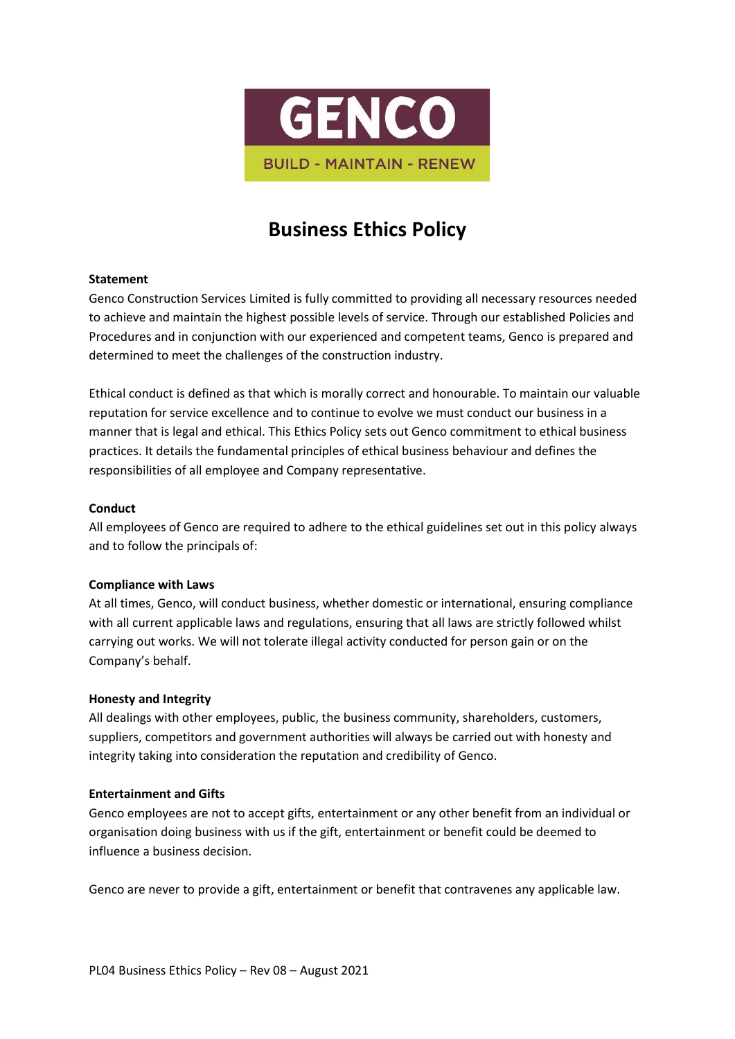

# **Business Ethics Policy**

## **Statement**

Genco Construction Services Limited is fully committed to providing all necessary resources needed to achieve and maintain the highest possible levels of service. Through our established Policies and Procedures and in conjunction with our experienced and competent teams, Genco is prepared and determined to meet the challenges of the construction industry.

Ethical conduct is defined as that which is morally correct and honourable. To maintain our valuable reputation for service excellence and to continue to evolve we must conduct our business in a manner that is legal and ethical. This Ethics Policy sets out Genco commitment to ethical business practices. It details the fundamental principles of ethical business behaviour and defines the responsibilities of all employee and Company representative.

## **Conduct**

All employees of Genco are required to adhere to the ethical guidelines set out in this policy always and to follow the principals of:

## **Compliance with Laws**

At all times, Genco, will conduct business, whether domestic or international, ensuring compliance with all current applicable laws and regulations, ensuring that all laws are strictly followed whilst carrying out works. We will not tolerate illegal activity conducted for person gain or on the Company's behalf.

## **Honesty and Integrity**

All dealings with other employees, public, the business community, shareholders, customers, suppliers, competitors and government authorities will always be carried out with honesty and integrity taking into consideration the reputation and credibility of Genco.

## **Entertainment and Gifts**

Genco employees are not to accept gifts, entertainment or any other benefit from an individual or organisation doing business with us if the gift, entertainment or benefit could be deemed to influence a business decision.

Genco are never to provide a gift, entertainment or benefit that contravenes any applicable law.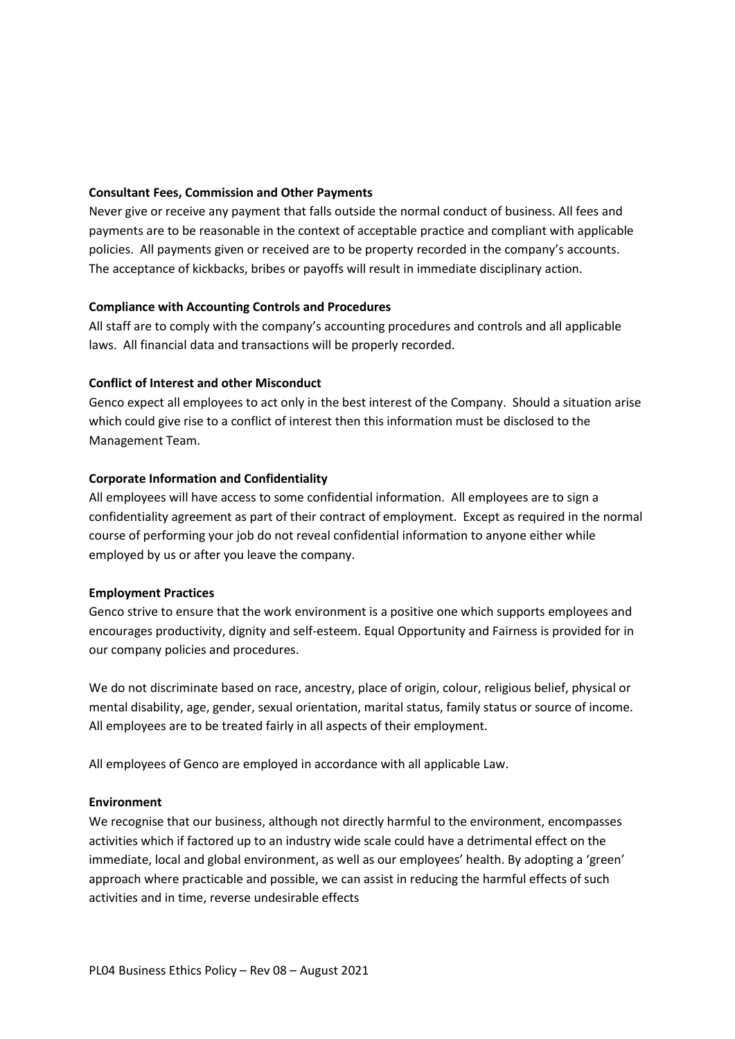## **Consultant Fees, Commission and Other Payments**

Never give or receive any payment that falls outside the normal conduct of business. All fees and payments are to be reasonable in the context of acceptable practice and compliant with applicable policies. All payments given or received are to be property recorded in the company's accounts. The acceptance of kickbacks, bribes or payoffs will result in immediate disciplinary action.

# **Compliance with Accounting Controls and Procedures**

All staff are to comply with the company's accounting procedures and controls and all applicable laws. All financial data and transactions will be properly recorded.

# **Conflict of Interest and other Misconduct**

Genco expect all employees to act only in the best interest of the Company. Should a situation arise which could give rise to a conflict of interest then this information must be disclosed to the Management Team.

# **Corporate Information and Confidentiality**

All employees will have access to some confidential information. All employees are to sign a confidentiality agreement as part of their contract of employment. Except as required in the normal course of performing your job do not reveal confidential information to anyone either while employed by us or after you leave the company.

## **Employment Practices**

Genco strive to ensure that the work environment is a positive one which supports employees and encourages productivity, dignity and self-esteem. Equal Opportunity and Fairness is provided for in our company policies and procedures.

We do not discriminate based on race, ancestry, place of origin, colour, religious belief, physical or mental disability, age, gender, sexual orientation, marital status, family status or source of income. All employees are to be treated fairly in all aspects of their employment.

All employees of Genco are employed in accordance with all applicable Law.

## **Environment**

We recognise that our business, although not directly harmful to the environment, encompasses activities which if factored up to an industry wide scale could have a detrimental effect on the immediate, local and global environment, as well as our employees' health. By adopting a 'green' approach where practicable and possible, we can assist in reducing the harmful effects of such activities and in time, reverse undesirable effects